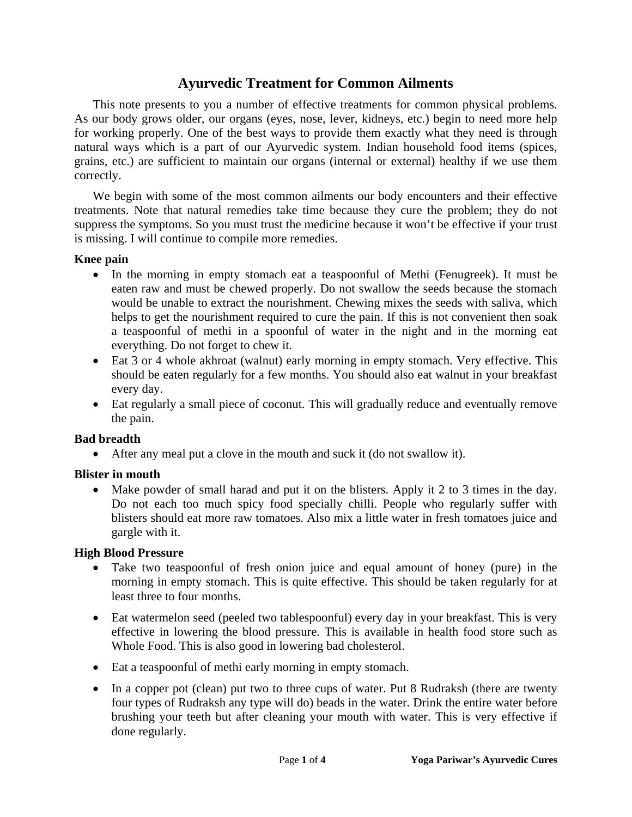# **Ayurvedic Treatment for Common Ailments**

 This note presents to you a number of effective treatments for common physical problems. As our body grows older, our organs (eyes, nose, lever, kidneys, etc.) begin to need more help for working properly. One of the best ways to provide them exactly what they need is through natural ways which is a part of our Ayurvedic system. Indian household food items (spices, grains, etc.) are sufficient to maintain our organs (internal or external) healthy if we use them correctly.

 We begin with some of the most common ailments our body encounters and their effective treatments. Note that natural remedies take time because they cure the problem; they do not suppress the symptoms. So you must trust the medicine because it won't be effective if your trust is missing. I will continue to compile more remedies.

#### **Knee pain**

- In the morning in empty stomach eat a teaspoonful of Methi (Fenugreek). It must be eaten raw and must be chewed properly. Do not swallow the seeds because the stomach would be unable to extract the nourishment. Chewing mixes the seeds with saliva, which helps to get the nourishment required to cure the pain. If this is not convenient then soak a teaspoonful of methi in a spoonful of water in the night and in the morning eat everything. Do not forget to chew it.
- Eat 3 or 4 whole akhroat (walnut) early morning in empty stomach. Very effective. This should be eaten regularly for a few months. You should also eat walnut in your breakfast every day.
- Eat regularly a small piece of coconut. This will gradually reduce and eventually remove the pain.

### **Bad breadth**

• After any meal put a clove in the mouth and suck it (do not swallow it).

### **Blister in mouth**

• Make powder of small harad and put it on the blisters. Apply it 2 to 3 times in the day. Do not each too much spicy food specially chilli. People who regularly suffer with blisters should eat more raw tomatoes. Also mix a little water in fresh tomatoes juice and gargle with it.

#### **High Blood Pressure**

- Take two teaspoonful of fresh onion juice and equal amount of honey (pure) in the morning in empty stomach. This is quite effective. This should be taken regularly for at least three to four months.
- Eat watermelon seed (peeled two tablespoonful) every day in your breakfast. This is very effective in lowering the blood pressure. This is available in health food store such as Whole Food. This is also good in lowering bad cholesterol.
- Eat a teaspoonful of methi early morning in empty stomach.
- In a copper pot (clean) put two to three cups of water. Put 8 Rudraksh (there are twenty four types of Rudraksh any type will do) beads in the water. Drink the entire water before brushing your teeth but after cleaning your mouth with water. This is very effective if done regularly.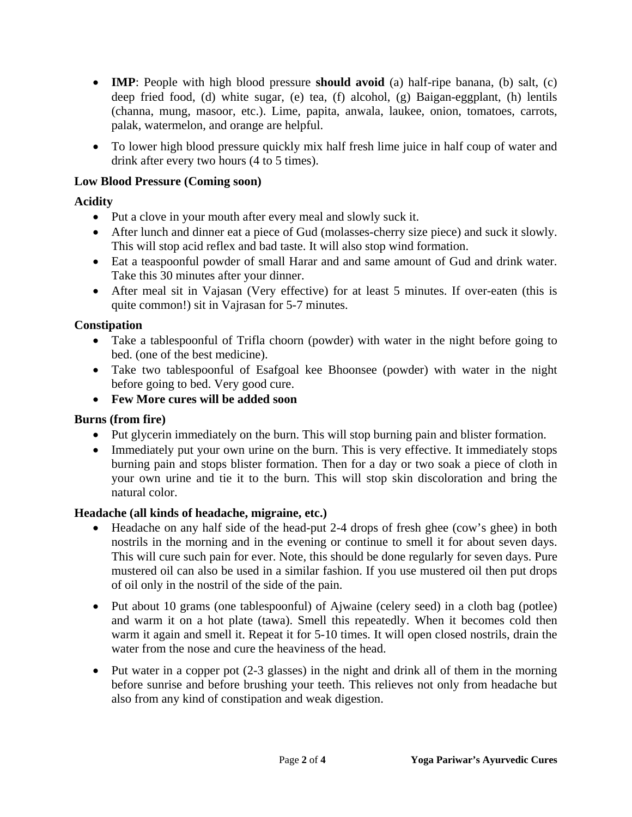- **IMP**: People with high blood pressure **should avoid** (a) half-ripe banana, (b) salt, (c) deep fried food, (d) white sugar, (e) tea, (f) alcohol, (g) Baigan-eggplant, (h) lentils (channa, mung, masoor, etc.). Lime, papita, anwala, laukee, onion, tomatoes, carrots, palak, watermelon, and orange are helpful.
- To lower high blood pressure quickly mix half fresh lime juice in half coup of water and drink after every two hours (4 to 5 times).

## **Low Blood Pressure (Coming soon)**

### **Acidity**

- Put a clove in your mouth after every meal and slowly suck it.
- After lunch and dinner eat a piece of Gud (molasses-cherry size piece) and suck it slowly. This will stop acid reflex and bad taste. It will also stop wind formation.
- Eat a teaspoonful powder of small Harar and and same amount of Gud and drink water. Take this 30 minutes after your dinner.
- After meal sit in Vajasan (Very effective) for at least 5 minutes. If over-eaten (this is quite common!) sit in Vajrasan for 5-7 minutes.

### **Constipation**

- Take a tablespoonful of Trifla choorn (powder) with water in the night before going to bed. (one of the best medicine).
- Take two tablespoonful of Esafgoal kee Bhoonsee (powder) with water in the night before going to bed. Very good cure.
- **Few More cures will be added soon**

### **Burns (from fire)**

- Put glycerin immediately on the burn. This will stop burning pain and blister formation.
- Immediately put your own urine on the burn. This is very effective. It immediately stops burning pain and stops blister formation. Then for a day or two soak a piece of cloth in your own urine and tie it to the burn. This will stop skin discoloration and bring the natural color.

### **Headache (all kinds of headache, migraine, etc.)**

- Headache on any half side of the head-put 2-4 drops of fresh ghee (cow's ghee) in both nostrils in the morning and in the evening or continue to smell it for about seven days. This will cure such pain for ever. Note, this should be done regularly for seven days. Pure mustered oil can also be used in a similar fashion. If you use mustered oil then put drops of oil only in the nostril of the side of the pain.
- Put about 10 grams (one tablespoonful) of Ajwaine (celery seed) in a cloth bag (potlee) and warm it on a hot plate (tawa). Smell this repeatedly. When it becomes cold then warm it again and smell it. Repeat it for 5-10 times. It will open closed nostrils, drain the water from the nose and cure the heaviness of the head.
- Put water in a copper pot (2-3 glasses) in the night and drink all of them in the morning before sunrise and before brushing your teeth. This relieves not only from headache but also from any kind of constipation and weak digestion.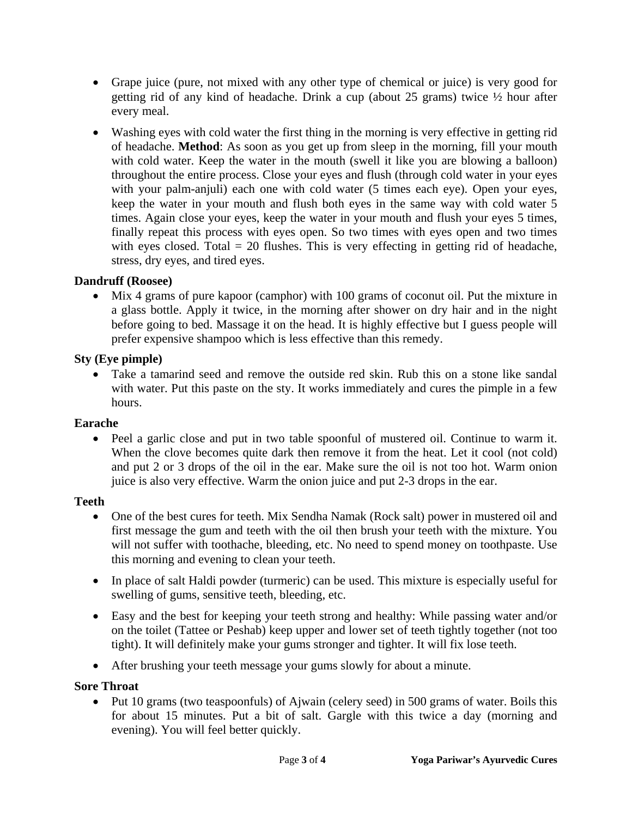- Grape juice (pure, not mixed with any other type of chemical or juice) is very good for getting rid of any kind of headache. Drink a cup (about 25 grams) twice ½ hour after every meal.
- Washing eyes with cold water the first thing in the morning is very effective in getting rid of headache. **Method**: As soon as you get up from sleep in the morning, fill your mouth with cold water. Keep the water in the mouth (swell it like you are blowing a balloon) throughout the entire process. Close your eyes and flush (through cold water in your eyes with your palm-anjuli) each one with cold water (5 times each eye). Open your eyes, keep the water in your mouth and flush both eyes in the same way with cold water 5 times. Again close your eyes, keep the water in your mouth and flush your eyes 5 times, finally repeat this process with eyes open. So two times with eyes open and two times with eyes closed. Total  $= 20$  flushes. This is very effecting in getting rid of headache, stress, dry eyes, and tired eyes.

### **Dandruff (Roosee)**

• Mix 4 grams of pure kapoor (camphor) with 100 grams of coconut oil. Put the mixture in a glass bottle. Apply it twice, in the morning after shower on dry hair and in the night before going to bed. Massage it on the head. It is highly effective but I guess people will prefer expensive shampoo which is less effective than this remedy.

### **Sty (Eye pimple)**

• Take a tamarind seed and remove the outside red skin. Rub this on a stone like sandal with water. Put this paste on the sty. It works immediately and cures the pimple in a few hours.

## **Earache**

• Peel a garlic close and put in two table spoonful of mustered oil. Continue to warm it. When the clove becomes quite dark then remove it from the heat. Let it cool (not cold) and put 2 or 3 drops of the oil in the ear. Make sure the oil is not too hot. Warm onion juice is also very effective. Warm the onion juice and put 2-3 drops in the ear.

### **Teeth**

- One of the best cures for teeth. Mix Sendha Namak (Rock salt) power in mustered oil and first message the gum and teeth with the oil then brush your teeth with the mixture. You will not suffer with toothache, bleeding, etc. No need to spend money on toothpaste. Use this morning and evening to clean your teeth.
- In place of salt Haldi powder (turmeric) can be used. This mixture is especially useful for swelling of gums, sensitive teeth, bleeding, etc.
- Easy and the best for keeping your teeth strong and healthy: While passing water and/or on the toilet (Tattee or Peshab) keep upper and lower set of teeth tightly together (not too tight). It will definitely make your gums stronger and tighter. It will fix lose teeth.
- After brushing your teeth message your gums slowly for about a minute.

### **Sore Throat**

• Put 10 grams (two teaspoonfuls) of Ajwain (celery seed) in 500 grams of water. Boils this for about 15 minutes. Put a bit of salt. Gargle with this twice a day (morning and evening). You will feel better quickly.